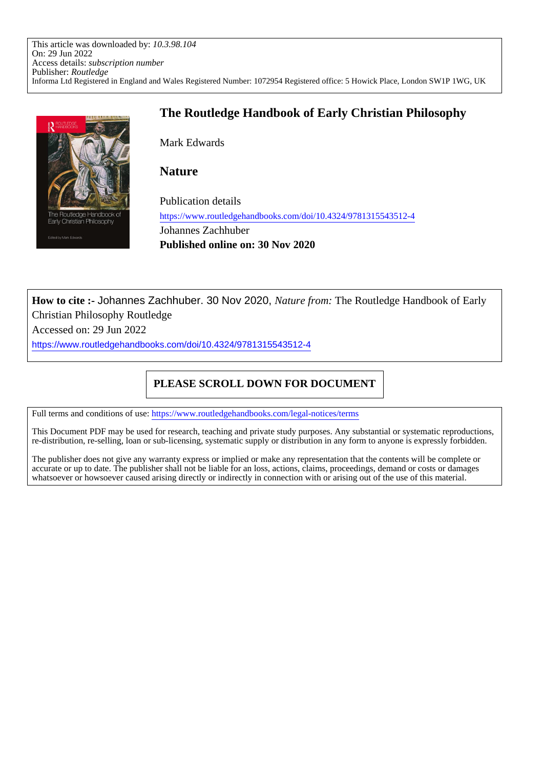This article was downloaded by: *10.3.98.104* On: 29 Jun 2022 Access details: *subscription number* Publisher: *Routledge* Informa Ltd Registered in England and Wales Registered Number: 1072954 Registered office: 5 Howick Place, London SW1P 1WG, UK



# **The Routledge Handbook of Early Christian Philosophy**

Mark Edwards

**Nature**

Publication details https://www.routledgehandbooks.com/doi/10.4324/9781315543512-4 Johannes Zachhuber **Published online on: 30 Nov 2020**

**How to cite :-** Johannes Zachhuber. 30 Nov 2020, *Nature from:* The Routledge Handbook of Early Christian Philosophy Routledge

Accessed on: 29 Jun 2022

https://www.routledgehandbooks.com/doi/10.4324/9781315543512-4

# **PLEASE SCROLL DOWN FOR DOCUMENT**

Full terms and conditions of use: https://www.routledgehandbooks.com/legal-notices/terms

This Document PDF may be used for research, teaching and private study purposes. Any substantial or systematic reproductions, re-distribution, re-selling, loan or sub-licensing, systematic supply or distribution in any form to anyone is expressly forbidden.

The publisher does not give any warranty express or implied or make any representation that the contents will be complete or accurate or up to date. The publisher shall not be liable for an loss, actions, claims, proceedings, demand or costs or damages whatsoever or howsoever caused arising directly or indirectly in connection with or arising out of the use of this material.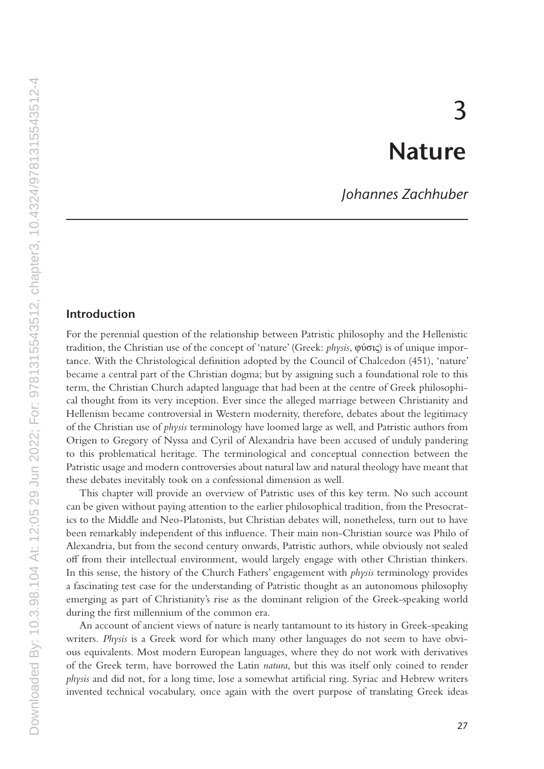# **Nature**

3

# *Johannes Zachhuber*

## **Introduction**

For the perennial question of the relationship between Patristic philosophy and the Hellenistic tradition, the Christian use of the concept of 'nature' (Greek: *physis*, φύσις) is of unique importance. With the Christological definition adopted by the Council of Chalcedon (451), 'nature' became a central part of the Christian dogma; but by assigning such a foundational role to this term, the Christian Church adapted language that had been at the centre of Greek philosophical thought from its very inception. Ever since the alleged marriage between Christianity and Hellenism became controversial in Western modernity, therefore, debates about the legitimacy of the Christian use of *physis* terminology have loomed large as well, and Patristic authors from Origen to Gregory of Nyssa and Cyril of Alexandria have been accused of unduly pandering to this problematical heritage. The terminological and conceptual connection between the Patristic usage and modern controversies about natural law and natural theology have meant that these debates inevitably took on a confessional dimension as well.

This chapter will provide an overview of Patristic uses of this key term. No such account can be given without paying attention to the earlier philosophical tradition, from the Presocratics to the Middle and Neo-Platonists, but Christian debates will, nonetheless, turn out to have been remarkably independent of this influence. Their main non-Christian source was Philo of Alexandria, but from the second century onwards, Patristic authors, while obviously not sealed off from their intellectual environment, would largely engage with other Christian thinkers. In this sense, the history of the Church Fathers' engagement with *physis* terminology provides a fascinating test case for the understanding of Patristic thought as an autonomous philosophy emerging as part of Christianity's rise as the dominant religion of the Greek-speaking world during the first millennium of the common era.

An account of ancient views of nature is nearly tantamount to its history in Greek-speaking writers. *Physis* is a Greek word for which many other languages do not seem to have obvious equivalents. Most modern European languages, where they do not work with derivatives of the Greek term, have borrowed the Latin *natura*, but this was itself only coined to render *physis* and did not, for a long time, lose a somewhat artificial ring. Syriac and Hebrew writers invented technical vocabulary, once again with the overt purpose of translating Greek ideas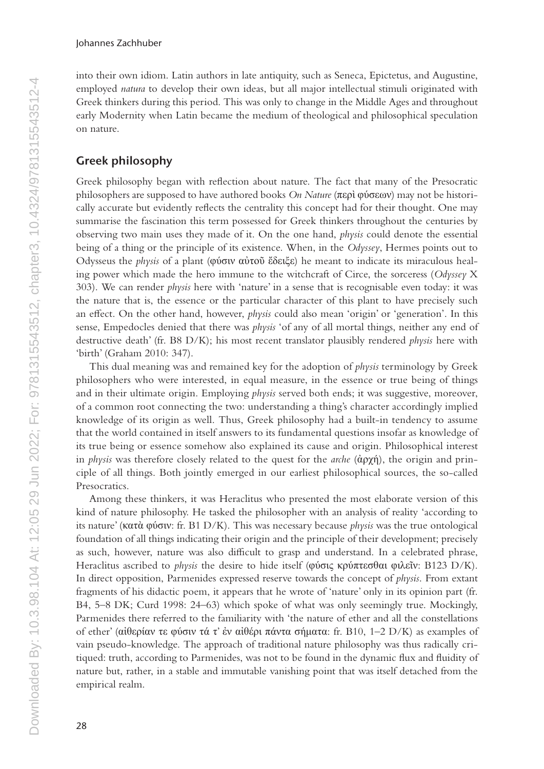into their own idiom. Latin authors in late antiquity, such as Seneca, Epictetus, and Augustine, employed *natura* to develop their own ideas, but all major intellectual stimuli originated with Greek thinkers during this period. This was only to change in the Middle Ages and throughout early Modernity when Latin became the medium of theological and philosophical speculation on nature.

# **Greek philosophy**

Greek philosophy began with reflection about nature. The fact that many of the Presocratic philosophers are supposed to have authored books *On Nature* (περὶ φύσεων) may not be historically accurate but evidently reflects the centrality this concept had for their thought. One may summarise the fascination this term possessed for Greek thinkers throughout the centuries by observing two main uses they made of it. On the one hand, *physis* could denote the essential being of a thing or the principle of its existence. When, in the *Odyssey*, Hermes points out to Odysseus the *physis* of a plant (φύσιν αὐτοῦ ἔδειξε) he meant to indicate its miraculous healing power which made the hero immune to the witchcraft of Circe, the sorceress (*Odyssey* X 303). We can render *physis* here with 'nature' in a sense that is recognisable even today: it was the nature that is, the essence or the particular character of this plant to have precisely such an effect. On the other hand, however, *physis* could also mean 'origin' or 'generation'. In this sense, Empedocles denied that there was *physis* 'of any of all mortal things, neither any end of destructive death' (fr. B8 D/K); his most recent translator plausibly rendered *physis* here with 'birth' (Graham 2010: 347).

This dual meaning was and remained key for the adoption of *physis* terminology by Greek philosophers who were interested, in equal measure, in the essence or true being of things and in their ultimate origin. Employing *physis* served both ends; it was suggestive, moreover, of a common root connecting the two: understanding a thing's character accordingly implied knowledge of its origin as well. Thus, Greek philosophy had a built-in tendency to assume that the world contained in itself answers to its fundamental questions insofar as knowledge of its true being or essence somehow also explained its cause and origin. Philosophical interest in *physis* was therefore closely related to the quest for the *arche* (ἀρχή), the origin and principle of all things. Both jointly emerged in our earliest philosophical sources, the so-called Presocratics.

Among these thinkers, it was Heraclitus who presented the most elaborate version of this kind of nature philosophy. He tasked the philosopher with an analysis of reality 'according to its nature' (κατὰ φύσιν: fr. B1 D/K). This was necessary because *physis* was the true ontological foundation of all things indicating their origin and the principle of their development; precisely as such, however, nature was also difficult to grasp and understand. In a celebrated phrase, Heraclitus ascribed to *physis* the desire to hide itself (φύσις κρύπτεσθαι φιλεῖν: B123 D/K). In direct opposition, Parmenides expressed reserve towards the concept of *physis*. From extant fragments of his didactic poem, it appears that he wrote of 'nature' only in its opinion part (fr. B4, 5–8 DK; Curd 1998: 24–63) which spoke of what was only seemingly true. Mockingly, Parmenides there referred to the familiarity with 'the nature of ether and all the constellations of ether' (αἰθερίαν τε φύσιν τά τ' ἐν αἰθέρι πάντα σήματα: fr. B10, 1–2 D/K) as examples of vain pseudo-knowledge. The approach of traditional nature philosophy was thus radically critiqued: truth, according to Parmenides, was not to be found in the dynamic flux and fluidity of nature but, rather, in a stable and immutable vanishing point that was itself detached from the empirical realm.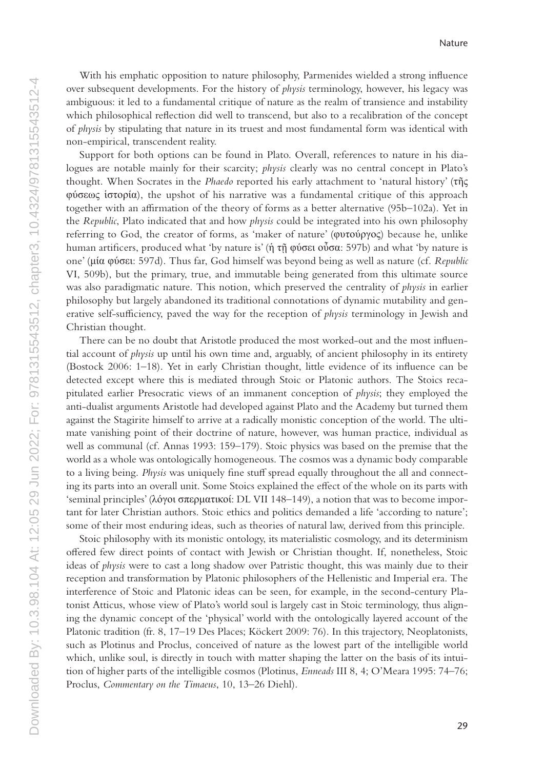With his emphatic opposition to nature philosophy, Parmenides wielded a strong influence over subsequent developments. For the history of *physis* terminology, however, his legacy was ambiguous: it led to a fundamental critique of nature as the realm of transience and instability which philosophical reflection did well to transcend, but also to a recalibration of the concept of *physis* by stipulating that nature in its truest and most fundamental form was identical with non-empirical, transcendent reality.

Support for both options can be found in Plato. Overall, references to nature in his dialogues are notable mainly for their scarcity; *physis* clearly was no central concept in Plato's thought. When Socrates in the *Phaedo* reported his early attachment to 'natural history' (τῆς φύσεως ἱστορία), the upshot of his narrative was a fundamental critique of this approach together with an affirmation of the theory of forms as a better alternative (95b–102a). Yet in the *Republic*, Plato indicated that and how *physis* could be integrated into his own philosophy referring to God, the creator of forms, as 'maker of nature' (φυτούργος) because he, unlike human artificers, produced what 'by nature is' (ἡ τῇ φύσει οὖσα: 597b) and what 'by nature is one' (μία φύσει: 597d). Thus far, God himself was beyond being as well as nature (cf. *Republic* VI, 509b), but the primary, true, and immutable being generated from this ultimate source was also paradigmatic nature. This notion, which preserved the centrality of *physis* in earlier philosophy but largely abandoned its traditional connotations of dynamic mutability and generative self-sufficiency, paved the way for the reception of *physis* terminology in Jewish and Christian thought.

There can be no doubt that Aristotle produced the most worked-out and the most influential account of *physis* up until his own time and, arguably, of ancient philosophy in its entirety (Bostock 2006: 1–18). Yet in early Christian thought, little evidence of its influence can be detected except where this is mediated through Stoic or Platonic authors. The Stoics recapitulated earlier Presocratic views of an immanent conception of *physis*; they employed the anti-dualist arguments Aristotle had developed against Plato and the Academy but turned them against the Stagirite himself to arrive at a radically monistic conception of the world. The ultimate vanishing point of their doctrine of nature, however, was human practice, individual as well as communal (cf. Annas 1993: 159–179). Stoic physics was based on the premise that the world as a whole was ontologically homogeneous. The cosmos was a dynamic body comparable to a living being. *Physis* was uniquely fine stuff spread equally throughout the all and connecting its parts into an overall unit. Some Stoics explained the effect of the whole on its parts with 'seminal principles' (λόγοι σπερματικοί: DL VII 148–149), a notion that was to become important for later Christian authors. Stoic ethics and politics demanded a life 'according to nature'; some of their most enduring ideas, such as theories of natural law, derived from this principle.

Stoic philosophy with its monistic ontology, its materialistic cosmology, and its determinism offered few direct points of contact with Jewish or Christian thought. If, nonetheless, Stoic ideas of *physis* were to cast a long shadow over Patristic thought, this was mainly due to their reception and transformation by Platonic philosophers of the Hellenistic and Imperial era. The interference of Stoic and Platonic ideas can be seen, for example, in the second-century Platonist Atticus, whose view of Plato's world soul is largely cast in Stoic terminology, thus aligning the dynamic concept of the 'physical' world with the ontologically layered account of the Platonic tradition (fr. 8, 17–19 Des Places; Köckert 2009: 76). In this trajectory, Neoplatonists, such as Plotinus and Proclus, conceived of nature as the lowest part of the intelligible world which, unlike soul, is directly in touch with matter shaping the latter on the basis of its intuition of higher parts of the intelligible cosmos (Plotinus, *Enneads* III 8, 4; O'Meara 1995: 74–76; Proclus, *Commentary on the Timaeus*, 10, 13–26 Diehl).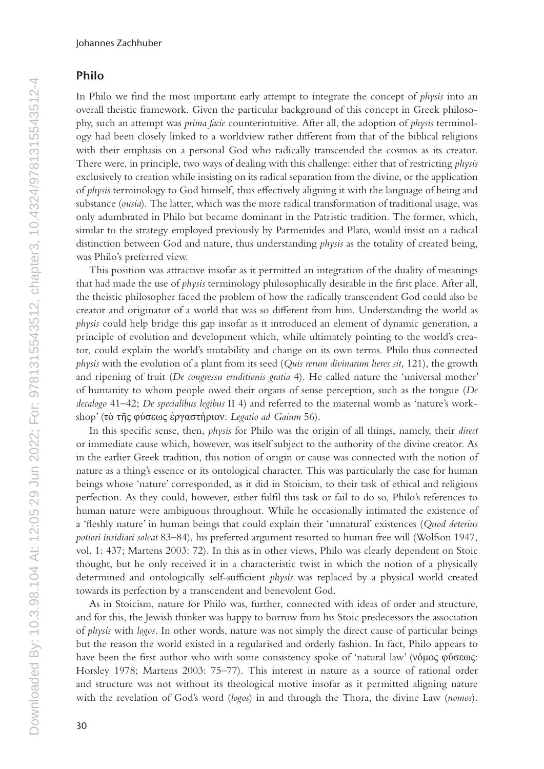## **Philo**

In Philo we find the most important early attempt to integrate the concept of *physis* into an overall theistic framework. Given the particular background of this concept in Greek philosophy, such an attempt was *prima facie* counterintuitive. After all, the adoption of *physis* terminology had been closely linked to a worldview rather different from that of the biblical religions with their emphasis on a personal God who radically transcended the cosmos as its creator. There were, in principle, two ways of dealing with this challenge: either that of restricting *physis* exclusively to creation while insisting on its radical separation from the divine, or the application of *physis* terminology to God himself, thus effectively aligning it with the language of being and substance (*ousia*). The latter, which was the more radical transformation of traditional usage, was only adumbrated in Philo but became dominant in the Patristic tradition. The former, which, similar to the strategy employed previously by Parmenides and Plato, would insist on a radical distinction between God and nature, thus understanding *physis* as the totality of created being, was Philo's preferred view.

This position was attractive insofar as it permitted an integration of the duality of meanings that had made the use of *physis* terminology philosophically desirable in the first place. After all, the theistic philosopher faced the problem of how the radically transcendent God could also be creator and originator of a world that was so different from him. Understanding the world as *physis* could help bridge this gap insofar as it introduced an element of dynamic generation, a principle of evolution and development which, while ultimately pointing to the world's creator, could explain the world's mutability and change on its own terms. Philo thus connected *physis* with the evolution of a plant from its seed (*Quis rerum divinarum heres sit*, 121), the growth and ripening of fruit (*De congressu eruditionis gratia* 4). He called nature the 'universal mother' of humanity to whom people owed their organs of sense perception, such as the tongue (*De decalogo* 41–42; *De specialibus legibus* II 4) and referred to the maternal womb as 'nature's workshop' (τὸ τῆς φύσεως ἐργαστήριον: *Legatio ad Gaium* 56).

In this specific sense, then, *physis* for Philo was the origin of all things, namely, their *direct* or immediate cause which, however, was itself subject to the authority of the divine creator. As in the earlier Greek tradition, this notion of origin or cause was connected with the notion of nature as a thing's essence or its ontological character. This was particularly the case for human beings whose 'nature' corresponded, as it did in Stoicism, to their task of ethical and religious perfection. As they could, however, either fulfil this task or fail to do so, Philo's references to human nature were ambiguous throughout. While he occasionally intimated the existence of a 'fleshly nature' in human beings that could explain their 'unnatural' existences (*Quod deterius potiori insidiari soleat* 83–84), his preferred argument resorted to human free will (Wolfson 1947, vol. 1: 437; Martens 2003: 72). In this as in other views, Philo was clearly dependent on Stoic thought, but he only received it in a characteristic twist in which the notion of a physically determined and ontologically self-sufficient *physis* was replaced by a physical world created towards its perfection by a transcendent and benevolent God.

As in Stoicism, nature for Philo was, further, connected with ideas of order and structure, and for this, the Jewish thinker was happy to borrow from his Stoic predecessors the association of *physis* with *logos*. In other words, nature was not simply the direct cause of particular beings but the reason the world existed in a regularised and orderly fashion. In fact, Philo appears to have been the first author who with some consistency spoke of 'natural law' (νόμος φύσεως: Horsley 1978; Martens 2003: 75–77). This interest in nature as a source of rational order and structure was not without its theological motive insofar as it permitted aligning nature with the revelation of God's word (*logos*) in and through the Thora, the divine Law (*nomos*).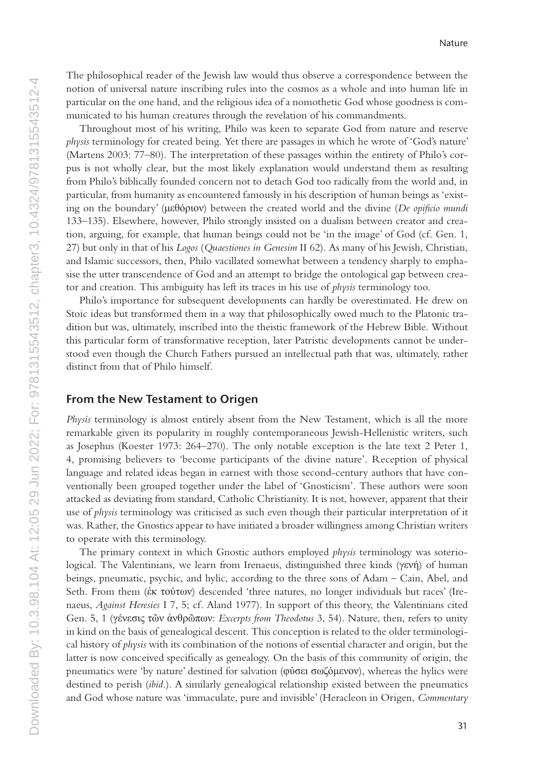The philosophical reader of the Jewish law would thus observe a correspondence between the notion of universal nature inscribing rules into the cosmos as a whole and into human life in particular on the one hand, and the religious idea of a nomothetic God whose goodness is communicated to his human creatures through the revelation of his commandments.

Throughout most of his writing, Philo was keen to separate God from nature and reserve *physis* terminology for created being. Yet there are passages in which he wrote of 'God's nature' (Martens 2003: 77–80). The interpretation of these passages within the entirety of Philo's corpus is not wholly clear, but the most likely explanation would understand them as resulting from Philo's biblically founded concern not to detach God too radically from the world and, in particular, from humanity as encountered famously in his description of human beings as 'existing on the boundary' (μεθόριον) between the created world and the divine (*De opificio mundi* 133–135). Elsewhere, however, Philo strongly insisted on a dualism between creator and creation, arguing, for example, that human beings could not be 'in the image' of God (cf. Gen. 1, 27) but only in that of his *Logos* (*Quaestiones in Genesim* II 62). As many of his Jewish, Christian, and Islamic successors, then, Philo vacillated somewhat between a tendency sharply to emphasise the utter transcendence of God and an attempt to bridge the ontological gap between creator and creation. This ambiguity has left its traces in his use of *physis* terminology too.

Philo's importance for subsequent developments can hardly be overestimated. He drew on Stoic ideas but transformed them in a way that philosophically owed much to the Platonic tradition but was, ultimately, inscribed into the theistic framework of the Hebrew Bible. Without this particular form of transformative reception, later Patristic developments cannot be understood even though the Church Fathers pursued an intellectual path that was, ultimately, rather distinct from that of Philo himself.

# **From the New Testament to Origen**

*Physis* terminology is almost entirely absent from the New Testament, which is all the more remarkable given its popularity in roughly contemporaneous Jewish-Hellenistic writers, such as Josephus (Koester 1973: 264–270). The only notable exception is the late text 2 Peter 1, 4, promising believers to 'become participants of the divine nature'. Reception of physical language and related ideas began in earnest with those second-century authors that have conventionally been grouped together under the label of 'Gnosticism'. These authors were soon attacked as deviating from standard, Catholic Christianity. It is not, however, apparent that their use of *physis* terminology was criticised as such even though their particular interpretation of it was. Rather, the Gnostics appear to have initiated a broader willingness among Christian writers to operate with this terminology.

The primary context in which Gnostic authors employed *physis* terminology was soteriological. The Valentinians, we learn from Irenaeus, distinguished three kinds (γενή) of human beings, pneumatic, psychic, and hylic, according to the three sons of Adam – Cain, Abel, and Seth. From them (ἐκ τούτων) descended 'three natures, no longer individuals but races' (Irenaeus, *Against Heresies* I 7, 5; cf. Aland 1977). In support of this theory, the Valentinians cited Gen. 5, 1 (γένεσις τῶν ἀνθρῶπων: *Excerpts from Theodotus* 3, 54). Nature, then, refers to unity in kind on the basis of genealogical descent. This conception is related to the older terminological history of *physis* with its combination of the notions of essential character and origin, but the latter is now conceived specifically as genealogy. On the basis of this community of origin, the pneumatics were 'by nature' destined for salvation (φύσει σωζόμενον), whereas the hylics were destined to perish (*ibid*.). A similarly genealogical relationship existed between the pneumatics and God whose nature was 'immaculate, pure and invisible' (Heracleon in Origen, *Commentary*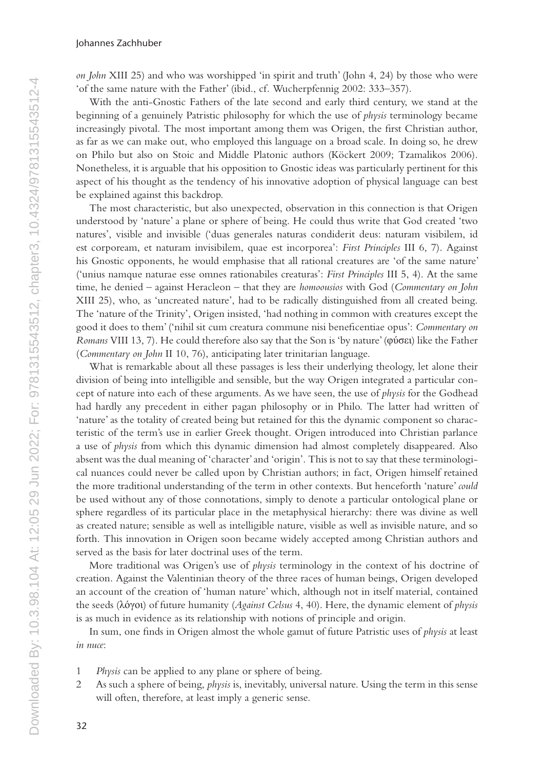*on John* XIII 25) and who was worshipped 'in spirit and truth' (John 4, 24) by those who were 'of the same nature with the Father' (ibid., cf. Wucherpfennig 2002: 333–357).

With the anti-Gnostic Fathers of the late second and early third century, we stand at the beginning of a genuinely Patristic philosophy for which the use of *physis* terminology became increasingly pivotal. The most important among them was Origen, the first Christian author, as far as we can make out, who employed this language on a broad scale. In doing so, he drew on Philo but also on Stoic and Middle Platonic authors (Köckert 2009; Tzamalikos 2006). Nonetheless, it is arguable that his opposition to Gnostic ideas was particularly pertinent for this aspect of his thought as the tendency of his innovative adoption of physical language can best be explained against this backdrop.

The most characteristic, but also unexpected, observation in this connection is that Origen understood by 'nature' a plane or sphere of being. He could thus write that God created 'two natures', visible and invisible ('duas generales naturas condiderit deus: naturam visibilem, id est corpoream, et naturam invisibilem, quae est incorporea': *First Principles* III 6, 7). Against his Gnostic opponents, he would emphasise that all rational creatures are 'of the same nature' ('unius namque naturae esse omnes rationabiles creaturas': *First Principles* III 5, 4). At the same time, he denied – against Heracleon – that they are *homoousios* with God (*Commentary on John* XIII 25), who, as 'uncreated nature', had to be radically distinguished from all created being. The 'nature of the Trinity', Origen insisted, 'had nothing in common with creatures except the good it does to them' ('nihil sit cum creatura commune nisi beneficentiae opus': *Commentary on Romans* VIII 13, 7). He could therefore also say that the Son is 'by nature' (φύσει) like the Father (*Commentary on John* II 10, 76), anticipating later trinitarian language.

What is remarkable about all these passages is less their underlying theology, let alone their division of being into intelligible and sensible, but the way Origen integrated a particular concept of nature into each of these arguments. As we have seen, the use of *physis* for the Godhead had hardly any precedent in either pagan philosophy or in Philo. The latter had written of 'nature' as the totality of created being but retained for this the dynamic component so characteristic of the term's use in earlier Greek thought. Origen introduced into Christian parlance a use of *physis* from which this dynamic dimension had almost completely disappeared. Also absent was the dual meaning of 'character' and 'origin'. This is not to say that these terminological nuances could never be called upon by Christian authors; in fact, Origen himself retained the more traditional understanding of the term in other contexts. But henceforth 'nature' *could* be used without any of those connotations, simply to denote a particular ontological plane or sphere regardless of its particular place in the metaphysical hierarchy: there was divine as well as created nature; sensible as well as intelligible nature, visible as well as invisible nature, and so forth. This innovation in Origen soon became widely accepted among Christian authors and served as the basis for later doctrinal uses of the term.

More traditional was Origen's use of *physis* terminology in the context of his doctrine of creation. Against the Valentinian theory of the three races of human beings, Origen developed an account of the creation of 'human nature' which, although not in itself material, contained the seeds (λόγοι) of future humanity (*Against Celsus* 4, 40). Here, the dynamic element of *physis* is as much in evidence as its relationship with notions of principle and origin.

In sum, one finds in Origen almost the whole gamut of future Patristic uses of *physis* at least *in nuce*:

- 1 *Physis* can be applied to any plane or sphere of being.
- 2 As such a sphere of being, *physis* is, inevitably, universal nature. Using the term in this sense will often, therefore, at least imply a generic sense.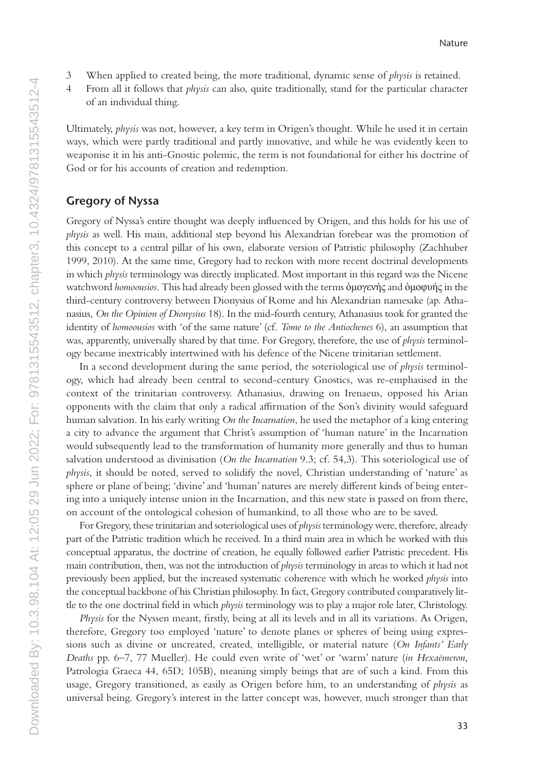- 3 When applied to created being, the more traditional, dynamic sense of *physis* is retained.
- 4 From all it follows that *physis* can also, quite traditionally, stand for the particular character of an individual thing.

Ultimately, *physis* was not, however, a key term in Origen's thought. While he used it in certain ways, which were partly traditional and partly innovative, and while he was evidently keen to weaponise it in his anti-Gnostic polemic, the term is not foundational for either his doctrine of God or for his accounts of creation and redemption.

# **Gregory of Nyssa**

Gregory of Nyssa's entire thought was deeply influenced by Origen, and this holds for his use of *physis* as well. His main, additional step beyond his Alexandrian forebear was the promotion of this concept to a central pillar of his own, elaborate version of Patristic philosophy (Zachhuber 1999, 2010). At the same time, Gregory had to reckon with more recent doctrinal developments in which *physis* terminology was directly implicated. Most important in this regard was the Nicene watchword *homoousios*. This had already been glossed with the terms ὁμογενής and ὁμοφυής in the third-century controversy between Dionysius of Rome and his Alexandrian namesake (ap. Athanasius, *On the Opinion of Dionysius* 18). In the mid-fourth century, Athanasius took for granted the identity of *homoousios* with 'of the same nature' (cf. *Tome to the Antiochenes* 6), an assumption that was, apparently, universally shared by that time. For Gregory, therefore, the use of *physis* terminology became inextricably intertwined with his defence of the Nicene trinitarian settlement.

In a second development during the same period, the soteriological use of *physis* terminology, which had already been central to second-century Gnostics, was re-emphasised in the context of the trinitarian controversy. Athanasius, drawing on Irenaeus, opposed his Arian opponents with the claim that only a radical affirmation of the Son's divinity would safeguard human salvation. In his early writing *On the Incarnation*, he used the metaphor of a king entering a city to advance the argument that Christ's assumption of 'human nature' in the Incarnation would subsequently lead to the transformation of humanity more generally and thus to human salvation understood as divinisation (*On the Incarnation* 9.3; cf. 54,3). This soteriological use of *physis*, it should be noted, served to solidify the novel, Christian understanding of 'nature' as sphere or plane of being; 'divine' and 'human' natures are merely different kinds of being entering into a uniquely intense union in the Incarnation, and this new state is passed on from there, on account of the ontological cohesion of humankind, to all those who are to be saved.

For Gregory, these trinitarian and soteriological uses of *physis* terminology were, therefore, already part of the Patristic tradition which he received. In a third main area in which he worked with this conceptual apparatus, the doctrine of creation, he equally followed earlier Patristic precedent. His main contribution, then, was not the introduction of *physis* terminology in areas to which it had not previously been applied, but the increased systematic coherence with which he worked *physis* into the conceptual backbone of his Christian philosophy. In fact, Gregory contributed comparatively little to the one doctrinal field in which *physis* terminology was to play a major role later, Christology.

*Physis* for the Nyssen meant, firstly, being at all its levels and in all its variations. As Origen, therefore, Gregory too employed 'nature' to denote planes or spheres of being using expressions such as divine or uncreated, created, intelligible, or material nature (*On Infants' Early Deaths* pp. 6–7, 77 Mueller). He could even write of 'wet' or 'warm' nature (*in Hexaëmeron*, Patrologia Graeca 44, 65D; 105B), meaning simply beings that are of such a kind. From this usage, Gregory transitioned, as easily as Origen before him, to an understanding of *physis* as universal being. Gregory's interest in the latter concept was, however, much stronger than that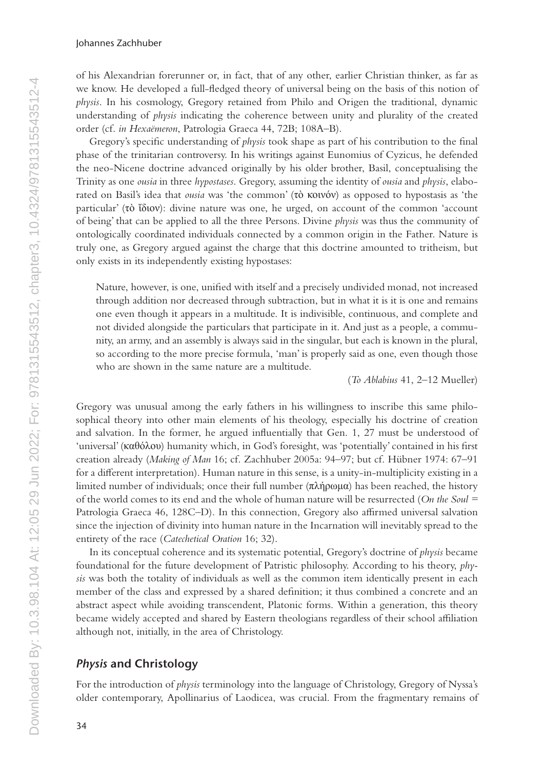of his Alexandrian forerunner or, in fact, that of any other, earlier Christian thinker, as far as we know. He developed a full-fledged theory of universal being on the basis of this notion of *physis*. In his cosmology, Gregory retained from Philo and Origen the traditional, dynamic understanding of *physis* indicating the coherence between unity and plurality of the created order (cf. *in Hexaëmeron*, Patrologia Graeca 44, 72B; 108A–B).

Gregory's specific understanding of *physis* took shape as part of his contribution to the final phase of the trinitarian controversy. In his writings against Eunomius of Cyzicus, he defended the neo-Nicene doctrine advanced originally by his older brother, Basil, conceptualising the Trinity as one *ousia* in three *hypostases*. Gregory, assuming the identity of *ousia* and *physis*, elaborated on Basil's idea that *ousia* was 'the common' (τὸ κοινόν) as opposed to hypostasis as 'the particular' (τὸ ἴδιον): divine nature was one, he urged, on account of the common 'account of being' that can be applied to all the three Persons. Divine *physis* was thus the community of ontologically coordinated individuals connected by a common origin in the Father. Nature is truly one, as Gregory argued against the charge that this doctrine amounted to tritheism, but only exists in its independently existing hypostases:

Nature, however, is one, unified with itself and a precisely undivided monad, not increased through addition nor decreased through subtraction, but in what it is it is one and remains one even though it appears in a multitude. It is indivisible, continuous, and complete and not divided alongside the particulars that participate in it. And just as a people, a community, an army, and an assembly is always said in the singular, but each is known in the plural, so according to the more precise formula, 'man' is properly said as one, even though those who are shown in the same nature are a multitude.

(*To Ablabius* 41, 2–12 Mueller)

Gregory was unusual among the early fathers in his willingness to inscribe this same philosophical theory into other main elements of his theology, especially his doctrine of creation and salvation. In the former, he argued influentially that Gen. 1, 27 must be understood of 'universal' (καθόλου) humanity which, in God's foresight, was 'potentially' contained in his first creation already (*Making of Man* 16; cf. Zachhuber 2005a: 94–97; but cf. Hübner 1974: 67–91 for a different interpretation). Human nature in this sense, is a unity-in-multiplicity existing in a limited number of individuals; once their full number (πλήρωμα) has been reached, the history of the world comes to its end and the whole of human nature will be resurrected (*On the Soul =* Patrologia Graeca 46, 128C–D). In this connection, Gregory also affirmed universal salvation since the injection of divinity into human nature in the Incarnation will inevitably spread to the entirety of the race (*Catechetical Oration* 16; 32).

In its conceptual coherence and its systematic potential, Gregory's doctrine of *physis* became foundational for the future development of Patristic philosophy. According to his theory, *physis* was both the totality of individuals as well as the common item identically present in each member of the class and expressed by a shared definition; it thus combined a concrete and an abstract aspect while avoiding transcendent, Platonic forms. Within a generation, this theory became widely accepted and shared by Eastern theologians regardless of their school affiliation although not, initially, in the area of Christology.

# *Physis* **and Christology**

For the introduction of *physis* terminology into the language of Christology, Gregory of Nyssa's older contemporary, Apollinarius of Laodicea, was crucial. From the fragmentary remains of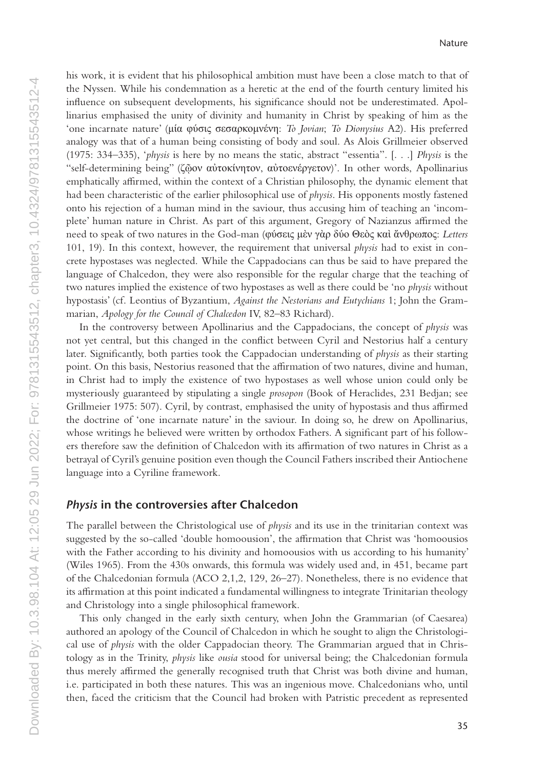his work, it is evident that his philosophical ambition must have been a close match to that of the Nyssen. While his condemnation as a heretic at the end of the fourth century limited his influence on subsequent developments, his significance should not be underestimated. Apollinarius emphasised the unity of divinity and humanity in Christ by speaking of him as the 'one incarnate nature' (μία φύσις σεσαρκομνένη: *To Jovian*; *To Dionysius* A2). His preferred analogy was that of a human being consisting of body and soul. As Alois Grillmeier observed (1975: 334–335), '*physis* is here by no means the static, abstract "essentia". [. . .] *Physis* is the "self-determining being" (ζῷον αὐτοκίνητον, αὐτοενέργετον)'. In other words, Apollinarius emphatically affirmed, within the context of a Christian philosophy, the dynamic element that had been characteristic of the earlier philosophical use of *physis*. His opponents mostly fastened onto his rejection of a human mind in the saviour, thus accusing him of teaching an 'incomplete' human nature in Christ. As part of this argument, Gregory of Nazianzus affirmed the need to speak of two natures in the God-man (φύσεις μὲν γὰρ δύο Θεὸς καὶ ἄνθρωπος: *Letters* 101, 19). In this context, however, the requirement that universal *physis* had to exist in concrete hypostases was neglected. While the Cappadocians can thus be said to have prepared the language of Chalcedon, they were also responsible for the regular charge that the teaching of two natures implied the existence of two hypostases as well as there could be 'no *physis* without hypostasis' (cf. Leontius of Byzantium, *Against the Nestorians and Eutychians* 1; John the Grammarian, *Apology for the Council of Chalcedon* IV, 82–83 Richard).

In the controversy between Apollinarius and the Cappadocians, the concept of *physis* was not yet central, but this changed in the conflict between Cyril and Nestorius half a century later. Significantly, both parties took the Cappadocian understanding of *physis* as their starting point. On this basis, Nestorius reasoned that the affirmation of two natures, divine and human, in Christ had to imply the existence of two hypostases as well whose union could only be mysteriously guaranteed by stipulating a single *prosopon* (Book of Heraclides, 231 Bedjan; see Grillmeier 1975: 507). Cyril, by contrast, emphasised the unity of hypostasis and thus affirmed the doctrine of 'one incarnate nature' in the saviour. In doing so, he drew on Apollinarius, whose writings he believed were written by orthodox Fathers. A significant part of his followers therefore saw the definition of Chalcedon with its affirmation of two natures in Christ as a betrayal of Cyril's genuine position even though the Council Fathers inscribed their Antiochene language into a Cyriline framework.

# *Physis* **in the controversies after Chalcedon**

The parallel between the Christological use of *physis* and its use in the trinitarian context was suggested by the so-called 'double homoousion', the affirmation that Christ was 'homoousios with the Father according to his divinity and homoousios with us according to his humanity' (Wiles 1965). From the 430s onwards, this formula was widely used and, in 451, became part of the Chalcedonian formula (ACO 2,1,2, 129, 26–27). Nonetheless, there is no evidence that its affirmation at this point indicated a fundamental willingness to integrate Trinitarian theology and Christology into a single philosophical framework.

This only changed in the early sixth century, when John the Grammarian (of Caesarea) authored an apology of the Council of Chalcedon in which he sought to align the Christological use of *physis* with the older Cappadocian theory. The Grammarian argued that in Christology as in the Trinity, *physis* like *ousia* stood for universal being; the Chalcedonian formula thus merely affirmed the generally recognised truth that Christ was both divine and human, i.e. participated in both these natures. This was an ingenious move. Chalcedonians who, until then, faced the criticism that the Council had broken with Patristic precedent as represented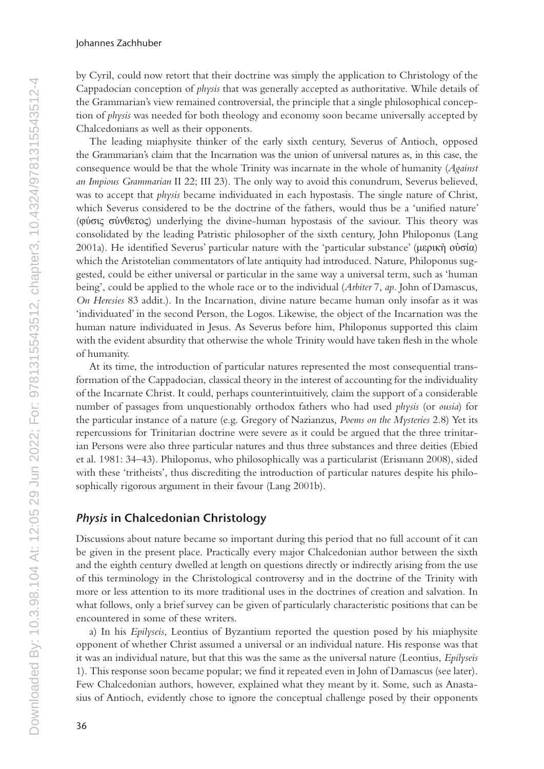by Cyril, could now retort that their doctrine was simply the application to Christology of the Cappadocian conception of *physis* that was generally accepted as authoritative. While details of the Grammarian's view remained controversial, the principle that a single philosophical conception of *physis* was needed for both theology and economy soon became universally accepted by Chalcedonians as well as their opponents.

The leading miaphysite thinker of the early sixth century, Severus of Antioch, opposed the Grammarian's claim that the Incarnation was the union of universal natures as, in this case, the consequence would be that the whole Trinity was incarnate in the whole of humanity (*Against an Impious Grammarian* II 22; III 23). The only way to avoid this conundrum, Severus believed, was to accept that *physis* became individuated in each hypostasis. The single nature of Christ, which Severus considered to be the doctrine of the fathers, would thus be a 'unified nature' (φύσις σύνθετος) underlying the divine-human hypostasis of the saviour. This theory was consolidated by the leading Patristic philosopher of the sixth century, John Philoponus (Lang 2001a). He identified Severus' particular nature with the 'particular substance' (μερικὴ οὐσία) which the Aristotelian commentators of late antiquity had introduced. Nature, Philoponus suggested, could be either universal or particular in the same way a universal term, such as 'human being', could be applied to the whole race or to the individual (*Arbiter* 7, *ap*. John of Damascus, *On Heresies* 83 addit.). In the Incarnation, divine nature became human only insofar as it was 'individuated' in the second Person, the Logos. Likewise, the object of the Incarnation was the human nature individuated in Jesus. As Severus before him, Philoponus supported this claim with the evident absurdity that otherwise the whole Trinity would have taken flesh in the whole of humanity.

At its time, the introduction of particular natures represented the most consequential transformation of the Cappadocian, classical theory in the interest of accounting for the individuality of the Incarnate Christ. It could, perhaps counterintuitively, claim the support of a considerable number of passages from unquestionably orthodox fathers who had used *physis* (or *ousia*) for the particular instance of a nature (e.g. Gregory of Nazianzus, *Poems on the Mysteries* 2.8) Yet its repercussions for Trinitarian doctrine were severe as it could be argued that the three trinitarian Persons were also three particular natures and thus three substances and three deities (Ebied et al. 1981: 34–43). Philoponus, who philosophically was a particularist (Erismann 2008), sided with these 'tritheists', thus discrediting the introduction of particular natures despite his philosophically rigorous argument in their favour (Lang 2001b).

# *Physis* **in Chalcedonian Christology**

Discussions about nature became so important during this period that no full account of it can be given in the present place. Practically every major Chalcedonian author between the sixth and the eighth century dwelled at length on questions directly or indirectly arising from the use of this terminology in the Christological controversy and in the doctrine of the Trinity with more or less attention to its more traditional uses in the doctrines of creation and salvation. In what follows, only a brief survey can be given of particularly characteristic positions that can be encountered in some of these writers.

a) In his *Epilyseis*, Leontius of Byzantium reported the question posed by his miaphysite opponent of whether Christ assumed a universal or an individual nature. His response was that it was an individual nature, but that this was the same as the universal nature (Leontius, *Epilyseis* 1). This response soon became popular; we find it repeated even in John of Damascus (see later). Few Chalcedonian authors, however, explained what they meant by it. Some, such as Anastasius of Antioch, evidently chose to ignore the conceptual challenge posed by their opponents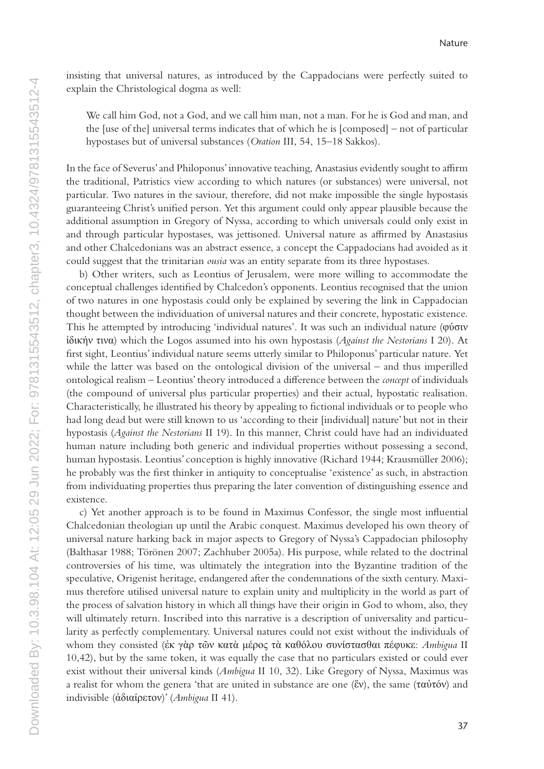insisting that universal natures, as introduced by the Cappadocians were perfectly suited to explain the Christological dogma as well:

We call him God, not a God, and we call him man, not a man. For he is God and man, and the [use of the] universal terms indicates that of which he is [composed] – not of particular hypostases but of universal substances (*Oration* III, 54, 15–18 Sakkos).

In the face of Severus' and Philoponus' innovative teaching, Anastasius evidently sought to affirm the traditional, Patristics view according to which natures (or substances) were universal, not particular. Two natures in the saviour, therefore, did not make impossible the single hypostasis guaranteeing Christ's unified person. Yet this argument could only appear plausible because the additional assumption in Gregory of Nyssa, according to which universals could only exist in and through particular hypostases, was jettisoned. Universal nature as affirmed by Anastasius and other Chalcedonians was an abstract essence, a concept the Cappadocians had avoided as it could suggest that the trinitarian *ousia* was an entity separate from its three hypostases.

b) Other writers, such as Leontius of Jerusalem, were more willing to accommodate the conceptual challenges identified by Chalcedon's opponents. Leontius recognised that the union of two natures in one hypostasis could only be explained by severing the link in Cappadocian thought between the individuation of universal natures and their concrete, hypostatic existence. This he attempted by introducing 'individual natures'. It was such an individual nature (φύσιν ἰδικήν τινα) which the Logos assumed into his own hypostasis (*Against the Nestorians* I 20). At first sight, Leontius' individual nature seems utterly similar to Philoponus' particular nature. Yet while the latter was based on the ontological division of the universal – and thus imperilled ontological realism – Leontius' theory introduced a difference between the *concept* of individuals (the compound of universal plus particular properties) and their actual, hypostatic realisation. Characteristically, he illustrated his theory by appealing to fictional individuals or to people who had long dead but were still known to us 'according to their [individual] nature' but not in their hypostasis (*Against the Nestorians* II 19). In this manner, Christ could have had an individuated human nature including both generic and individual properties without possessing a second, human hypostasis. Leontius' conception is highly innovative (Richard 1944; Krausmüller 2006); he probably was the first thinker in antiquity to conceptualise 'existence' as such, in abstraction from individuating properties thus preparing the later convention of distinguishing essence and existence.

c) Yet another approach is to be found in Maximus Confessor, the single most influential Chalcedonian theologian up until the Arabic conquest. Maximus developed his own theory of universal nature harking back in major aspects to Gregory of Nyssa's Cappadocian philosophy (Balthasar 1988; Törönen 2007; Zachhuber 2005a). His purpose, while related to the doctrinal controversies of his time, was ultimately the integration into the Byzantine tradition of the speculative, Origenist heritage, endangered after the condemnations of the sixth century. Maximus therefore utilised universal nature to explain unity and multiplicity in the world as part of the process of salvation history in which all things have their origin in God to whom, also, they will ultimately return. Inscribed into this narrative is a description of universality and particularity as perfectly complementary. Universal natures could not exist without the individuals of whom they consisted (ἐκ γὰρ τῶν κατὰ μέρος τὰ καθόλου συνίστασθαι πέφυκε: *Ambigua* II 10,42), but by the same token, it was equally the case that no particulars existed or could ever exist without their universal kinds (*Ambigua* II 10, 32). Like Gregory of Nyssa, Maximus was a realist for whom the genera 'that are united in substance are one ( $\tilde{\varepsilon}$ ν), the same (ταὐτόν) and indivisible (ἀδιαίρετον)' (*Ambigua* II 41).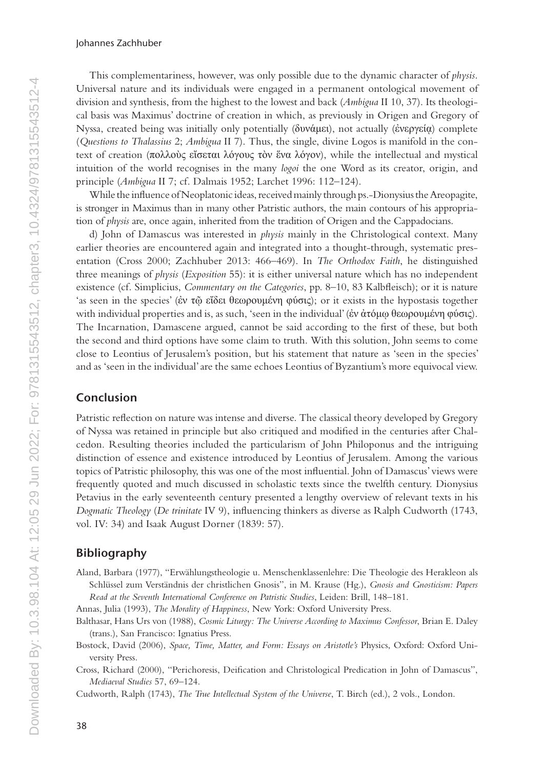This complementariness, however, was only possible due to the dynamic character of *physis*. Universal nature and its individuals were engaged in a permanent ontological movement of division and synthesis, from the highest to the lowest and back (*Ambigua* II 10, 37). Its theological basis was Maximus' doctrine of creation in which, as previously in Origen and Gregory of Nyssa, created being was initially only potentially (δυνάμει), not actually (ἐνεργείᾳ) complete (*Questions to Thalassius* 2; *Ambigua* II 7). Thus, the single, divine Logos is manifold in the context of creation (πολλοὺς εἴσεται λόγους τὸν ἕνα λόγον), while the intellectual and mystical intuition of the world recognises in the many *logoi* the one Word as its creator, origin, and principle (*Ambigua* II 7; cf. Dalmais 1952; Larchet 1996: 112–124).

While the influence of Neoplatonic ideas, received mainly through ps.-Dionysius the Areopagite, is stronger in Maximus than in many other Patristic authors, the main contours of his appropriation of *physis* are, once again, inherited from the tradition of Origen and the Cappadocians.

d) John of Damascus was interested in *physis* mainly in the Christological context. Many earlier theories are encountered again and integrated into a thought-through, systematic presentation (Cross 2000; Zachhuber 2013: 466–469). In *The Orthodox Faith*, he distinguished three meanings of *physis* (*Exposition* 55): it is either universal nature which has no independent existence (cf. Simplicius, *Commentary on the Categories*, pp. 8–10, 83 Kalbfleisch); or it is nature 'as seen in the species' (ἐν τῷ εἴδει θεωρουμένη φύσις); or it exists in the hypostasis together with individual properties and is, as such, 'seen in the individual' (ἐν ἀτόμῳ θεωρουμένη φύσις). The Incarnation, Damascene argued, cannot be said according to the first of these, but both the second and third options have some claim to truth. With this solution, John seems to come close to Leontius of Jerusalem's position, but his statement that nature as 'seen in the species' and as 'seen in the individual' are the same echoes Leontius of Byzantium's more equivocal view.

# **Conclusion**

Patristic reflection on nature was intense and diverse. The classical theory developed by Gregory of Nyssa was retained in principle but also critiqued and modified in the centuries after Chalcedon. Resulting theories included the particularism of John Philoponus and the intriguing distinction of essence and existence introduced by Leontius of Jerusalem. Among the various topics of Patristic philosophy, this was one of the most influential. John of Damascus' views were frequently quoted and much discussed in scholastic texts since the twelfth century. Dionysius Petavius in the early seventeenth century presented a lengthy overview of relevant texts in his *Dogmatic Theology* (*De trinitate* IV 9), influencing thinkers as diverse as Ralph Cudworth (1743, vol. IV: 34) and Isaak August Dorner (1839: 57).

## **Bibliography**

Aland, Barbara (1977), "Erwählungstheologie u. Menschenklassenlehre: Die Theologie des Herakleon als Schlüssel zum Verständnis der christlichen Gnosis", in M. Krause (Hg.), *Gnosis and Gnosticism: Papers Read at the Seventh International Conference on Patristic Studies*, Leiden: Brill, 148–181.

Annas, Julia (1993), *The Morality of Happiness*, New York: Oxford University Press.

- Balthasar, Hans Urs von (1988), *Cosmic Liturgy: The Universe According to Maximus Confessor*, Brian E. Daley (trans.), San Francisco: Ignatius Press.
- Bostock, David (2006), *Space, Time, Matter, and Form: Essays on Aristotle's* Physics, Oxford: Oxford University Press.

Cross, Richard (2000), "Perichoresis, Deification and Christological Predication in John of Damascus", *Mediaeval Studies* 57, 69–124.

Cudworth, Ralph (1743), *The True Intellectual System of the Universe*, T. Birch (ed.), 2 vols., London.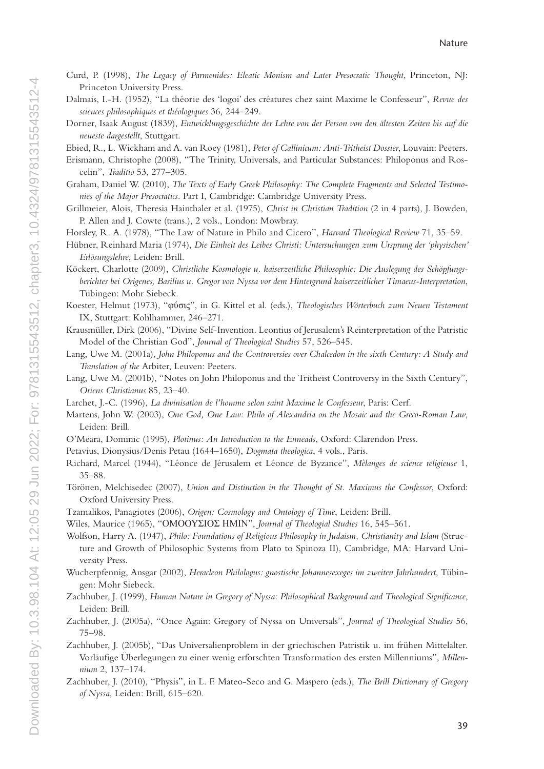- Curd, P. (1998), *The Legacy of Parmenides: Eleatic Monism and Later Presocratic Thought*, Princeton, NJ: Princeton University Press.
- Dalmais, I.-H. (1952), "La théorie des 'logoi' des créatures chez saint Maxime le Confesseur", *Revue des sciences philosophiques et théologiques* 36, 244–249.
- Dorner, Isaak August (1839), *Entwicklungsgeschichte der Lehre von der Person von den ältesten Zeiten bis auf die neueste dargestellt*, Stuttgart.

Ebied, R., L. Wickham and A. van Roey (1981), *Peter of Callinicum: Anti-Tritheist Dossier*, Louvain: Peeters.

- Erismann, Christophe (2008), "The Trinity, Universals, and Particular Substances: Philoponus and Roscelin", *Traditio* 53, 277–305.
- Graham, Daniel W. (2010), *The Texts of Early Greek Philosophy: The Complete Fragments and Selected Testimonies of the Major Presocratics*. Part I, Cambridge: Cambridge University Press.
- Grillmeier, Alois, Theresia Hainthaler et al. (1975), *Christ in Christian Tradition* (2 in 4 parts), J. Bowden, P. Allen and J. Cowte (trans.), 2 vols., London: Mowbray.
- Horsley, R. A. (1978), "The Law of Nature in Philo and Cicero", *Harvard Theological Review* 71, 35–59.
- Hübner, Reinhard Maria (1974), *Die Einheit des Leibes Christi: Untersuchungen zum Ursprung der 'physischen' Erlösungslehre*, Leiden: Brill.
- Köckert, Charlotte (2009), *Christliche Kosmologie u. kaiserzeitliche Philosophie: Die Auslegung des Schöpfungsberichtes bei Origenes, Basilius u. Gregor von Nyssa vor dem Hintergrund kaiserzeitlicher Timaeus-Interpretation*, Tübingen: Mohr Siebeck.
- Koester, Helmut (1973), "φύσις", in G. Kittel et al. (eds.), *Theologisches Wörterbuch zum Neuen Testament* IX, Stuttgart: Kohlhammer, 246–271.
- Krausmüller, Dirk (2006), "Divine Self-Invention. Leontius of Jerusalem's Reinterpretation of the Patristic Model of the Christian God", *Journal of Theological Studies* 57, 526–545.
- Lang, Uwe M. (2001a), *John Philoponus and the Controversies over Chalcedon in the sixth Century: A Study and Translation of the* Arbiter, Leuven: Peeters.
- Lang, Uwe M. (2001b), "Notes on John Philoponus and the Tritheist Controversy in the Sixth Century", *Oriens Christianus* 85, 23–40.
- Larchet, J.-C. (1996), *La divinisation de l'homme selon saint Maxime le Confesseur*, Paris: Cerf.
- Martens, John W. (2003), *One God, One Law: Philo of Alexandria on the Mosaic and the Greco-Roman Law*, Leiden: Brill.
- O'Meara, Dominic (1995), *Plotinus: An Introduction to the Enneads*, Oxford: Clarendon Press.
- Petavius, Dionysius/Denis Petau (1644–1650), *Dogmata theologica*, 4 vols., Paris.
- Richard, Marcel (1944), "Léonce de Jérusalem et Léonce de Byzance", *Mèlanges de science religieuse* 1, 35–88.
- Törönen, Melchisedec (2007), *Union and Distinction in the Thought of St. Maximus the Confessor*, Oxford: Oxford University Press.
- Tzamalikos, Panagiotes (2006), *Origen: Cosmology and Ontology of Time*, Leiden: Brill.
- Wiles, Maurice (1965), "ΟΜΟΟΥΣΙΟΣ ΗΜΙΝ", *Journal of Theologial Studies* 16, 545–561.
- Wolfson, Harry A. (1947), *Philo: Foundations of Religious Philosophy in Judaism, Christianity and Islam* (Structure and Growth of Philosophic Systems from Plato to Spinoza II), Cambridge, MA: Harvard University Press.
- Wucherpfennig, Ansgar (2002), *Heracleon Philologus: gnostische Johannesexeges im zweiten Jahrhundert*, Tübingen: Mohr Siebeck.
- Zachhuber, J. (1999), *Human Nature in Gregory of Nyssa: Philosophical Background and Theological Significance*, Leiden: Brill.
- Zachhuber, J. (2005a), "Once Again: Gregory of Nyssa on Universals", *Journal of Theological Studies* 56, 75–98.
- Zachhuber, J. (2005b), "Das Universalienproblem in der griechischen Patristik u. im frühen Mittelalter. Vorläufige Überlegungen zu einer wenig erforschten Transformation des ersten Millenniums", *Millennium* 2, 137–174.
- Zachhuber, J. (2010), "Physis", in L. F. Mateo-Seco and G. Maspero (eds.), *The Brill Dictionary of Gregory of Nyssa*, Leiden: Brill, 615–620.